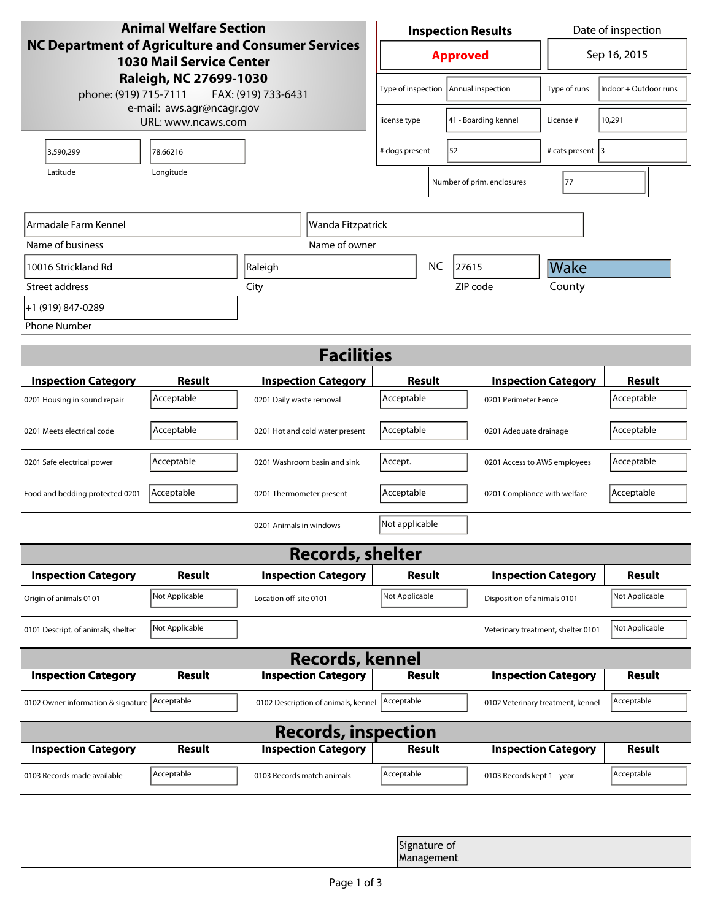| <b>Animal Welfare Section</b><br><b>NC Department of Agriculture and Consumer Services</b><br><b>1030 Mail Service Center</b><br>Raleigh, NC 27699-1030 |                     |                                     | <b>Inspection Results</b>                  |                            |                                    | Date of inspection         |                |
|---------------------------------------------------------------------------------------------------------------------------------------------------------|---------------------|-------------------------------------|--------------------------------------------|----------------------------|------------------------------------|----------------------------|----------------|
|                                                                                                                                                         |                     |                                     |                                            | <b>Approved</b>            |                                    |                            | Sep 16, 2015   |
| phone: (919) 715-7111                                                                                                                                   | FAX: (919) 733-6431 |                                     | Type of inspection<br>Annual inspection    |                            | Type of runs                       | Indoor + Outdoor runs      |                |
| e-mail: aws.agr@ncagr.gov<br>URL: www.ncaws.com                                                                                                         |                     |                                     | license type                               |                            | 41 - Boarding kennel               | License #                  | 10,291         |
| 3,590,299                                                                                                                                               | 78.66216            |                                     | # dogs present                             | 52                         |                                    | # cats present 3           |                |
| Latitude                                                                                                                                                | Longitude           |                                     |                                            |                            | Number of prim. enclosures         | 77                         |                |
| Armadale Farm Kennel                                                                                                                                    |                     | Wanda Fitzpatrick                   |                                            |                            |                                    |                            |                |
| Name of business                                                                                                                                        |                     | Name of owner                       |                                            |                            |                                    |                            |                |
| 10016 Strickland Rd                                                                                                                                     |                     | Raleigh                             |                                            | NC                         | 27615                              | Wake                       |                |
| Street address                                                                                                                                          |                     | City                                |                                            |                            | ZIP code                           | County                     |                |
| +1 (919) 847-0289                                                                                                                                       |                     |                                     |                                            |                            |                                    |                            |                |
| <b>Phone Number</b>                                                                                                                                     |                     |                                     |                                            |                            |                                    |                            |                |
| <b>Facilities</b>                                                                                                                                       |                     |                                     |                                            |                            |                                    |                            |                |
| <b>Inspection Category</b>                                                                                                                              | <b>Result</b>       | <b>Inspection Category</b>          |                                            | <b>Result</b>              |                                    | <b>Inspection Category</b> | <b>Result</b>  |
| 0201 Housing in sound repair                                                                                                                            | Acceptable          | 0201 Daily waste removal            | Acceptable                                 |                            |                                    | 0201 Perimeter Fence       |                |
| 0201 Meets electrical code                                                                                                                              | Acceptable          | 0201 Hot and cold water present     | Acceptable                                 |                            | 0201 Adequate drainage             |                            | Acceptable     |
| 0201 Safe electrical power                                                                                                                              | Acceptable          | 0201 Washroom basin and sink        | Accept.                                    |                            | 0201 Access to AWS employees       |                            | Acceptable     |
| Food and bedding protected 0201                                                                                                                         | Acceptable          | 0201 Thermometer present            | Acceptable<br>0201 Compliance with welfare |                            |                                    | Acceptable                 |                |
|                                                                                                                                                         |                     | 0201 Animals in windows             | Not applicable                             |                            |                                    |                            |                |
| <b>Records, shelter</b>                                                                                                                                 |                     |                                     |                                            |                            |                                    |                            |                |
| <b>Inspection Category</b>                                                                                                                              | <b>Result</b>       | <b>Inspection Category</b>          |                                            | Result                     |                                    | <b>Inspection Category</b> | <b>Result</b>  |
| Origin of animals 0101                                                                                                                                  | Not Applicable      | Location off-site 0101              | Not Applicable                             |                            | Disposition of animals 0101        |                            | Not Applicable |
| 0101 Descript. of animals, shelter                                                                                                                      | Not Applicable      |                                     |                                            |                            | Veterinary treatment, shelter 0101 |                            | Not Applicable |
| <b>Records, kennel</b>                                                                                                                                  |                     |                                     |                                            |                            |                                    |                            |                |
| <b>Inspection Category</b>                                                                                                                              | Result              | <b>Inspection Category</b>          |                                            | <b>Result</b>              |                                    | <b>Inspection Category</b> | Result         |
| 0102 Owner information & signature Acceptable                                                                                                           |                     | 0102 Description of animals, kennel | Acceptable                                 |                            | 0102 Veterinary treatment, kennel  |                            | Acceptable     |
| <b>Records, inspection</b>                                                                                                                              |                     |                                     |                                            |                            |                                    |                            |                |
| <b>Inspection Category</b>                                                                                                                              | <b>Result</b>       | <b>Inspection Category</b>          |                                            | <b>Result</b>              |                                    | <b>Inspection Category</b> | <b>Result</b>  |
| 0103 Records made available                                                                                                                             | Acceptable          | 0103 Records match animals          | Acceptable                                 |                            | 0103 Records kept 1+ year          |                            | Acceptable     |
|                                                                                                                                                         |                     |                                     |                                            |                            |                                    |                            |                |
|                                                                                                                                                         |                     |                                     |                                            | Signature of<br>Management |                                    |                            |                |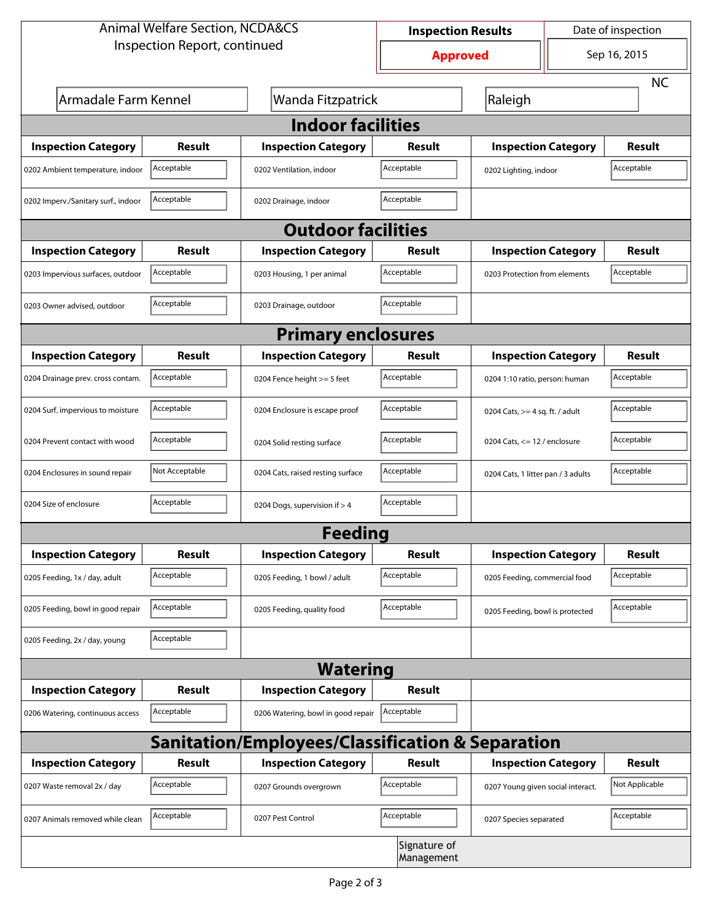| <b>Animal Welfare Section, NCDA&amp;CS</b> |                |                                                             | <b>Inspection Results</b>  |                                     | Date of inspection             |                |  |  |
|--------------------------------------------|----------------|-------------------------------------------------------------|----------------------------|-------------------------------------|--------------------------------|----------------|--|--|
| Inspection Report, continued               |                |                                                             | <b>Approved</b>            |                                     | Sep 16, 2015                   |                |  |  |
|                                            |                |                                                             |                            |                                     |                                | <b>NC</b>      |  |  |
| Armadale Farm Kennel                       |                | Wanda Fitzpatrick                                           |                            | Raleigh                             |                                |                |  |  |
| <b>Indoor facilities</b>                   |                |                                                             |                            |                                     |                                |                |  |  |
| <b>Inspection Category</b>                 | Result         | <b>Inspection Category</b>                                  | Result                     | <b>Inspection Category</b>          |                                | Result         |  |  |
| 0202 Ambient temperature, indoor           | Acceptable     | 0202 Ventilation, indoor                                    | Acceptable                 | Acceptable<br>0202 Lighting, indoor |                                |                |  |  |
| 0202 Imperv./Sanitary surf., indoor        | Acceptable     | 0202 Drainage, indoor                                       | Acceptable                 |                                     |                                |                |  |  |
|                                            |                | <b>Outdoor facilities</b>                                   |                            |                                     |                                |                |  |  |
| <b>Inspection Category</b>                 | Result         | <b>Inspection Category</b>                                  | Result                     | <b>Inspection Category</b>          |                                | Result         |  |  |
| 0203 Impervious surfaces, outdoor          | Acceptable     | 0203 Housing, 1 per animal                                  | Acceptable                 | 0203 Protection from elements       |                                | Acceptable     |  |  |
| 0203 Owner advised, outdoor                | Acceptable     | 0203 Drainage, outdoor                                      | Acceptable                 |                                     |                                |                |  |  |
|                                            |                | <b>Primary enclosures</b>                                   |                            |                                     |                                |                |  |  |
| <b>Inspection Category</b>                 | Result         | <b>Inspection Category</b>                                  | Result                     | <b>Inspection Category</b>          |                                | Result         |  |  |
| 0204 Drainage prev. cross contam.          | Acceptable     | 0204 Fence height >= 5 feet                                 | Acceptable                 |                                     | 0204 1:10 ratio, person: human |                |  |  |
| 0204 Surf. impervious to moisture          | Acceptable     | 0204 Enclosure is escape proof                              | Acceptable                 | 0204 Cats, $>=$ 4 sq. ft. / adult   |                                | Acceptable     |  |  |
| 0204 Prevent contact with wood             | Acceptable     | 0204 Solid resting surface                                  | Acceptable                 | 0204 Cats, $<= 12$ / enclosure      |                                | Acceptable     |  |  |
| 0204 Enclosures in sound repair            | Not Acceptable | 0204 Cats, raised resting surface                           | Acceptable                 | 0204 Cats, 1 litter pan / 3 adults  |                                | Acceptable     |  |  |
| 0204 Size of enclosure                     | Acceptable     | 0204 Dogs, supervision if > 4                               | Acceptable                 |                                     |                                |                |  |  |
|                                            |                | Feeding                                                     |                            |                                     |                                |                |  |  |
| <b>Inspection Category</b>                 | <b>Result</b>  | <b>Inspection Category</b>                                  | <b>Result</b>              | <b>Inspection Category</b>          |                                | <b>Result</b>  |  |  |
| 0205 Feeding, 1x / day, adult              | Acceptable     | 0205 Feeding, 1 bowl / adult                                | Acceptable                 | 0205 Feeding, commercial food       |                                | Acceptable     |  |  |
| 0205 Feeding, bowl in good repair          | Acceptable     | 0205 Feeding, quality food                                  | Acceptable                 | 0205 Feeding, bowl is protected     |                                | Acceptable     |  |  |
| 0205 Feeding, 2x / day, young              | Acceptable     |                                                             |                            |                                     |                                |                |  |  |
|                                            |                | <b>Watering</b>                                             |                            |                                     |                                |                |  |  |
| <b>Inspection Category</b>                 | <b>Result</b>  | <b>Inspection Category</b>                                  | <b>Result</b>              |                                     |                                |                |  |  |
| 0206 Watering, continuous access           | Acceptable     | 0206 Watering, bowl in good repair                          | Acceptable                 |                                     |                                |                |  |  |
|                                            |                | <b>Sanitation/Employees/Classification &amp; Separation</b> |                            |                                     |                                |                |  |  |
| <b>Inspection Category</b>                 | <b>Result</b>  | <b>Inspection Category</b>                                  | Result                     | <b>Inspection Category</b>          |                                | <b>Result</b>  |  |  |
| 0207 Waste removal 2x / day                | Acceptable     | 0207 Grounds overgrown                                      | Acceptable                 | 0207 Young given social interact.   |                                | Not Applicable |  |  |
| 0207 Animals removed while clean           | Acceptable     | 0207 Pest Control                                           | Acceptable                 | 0207 Species separated              |                                | Acceptable     |  |  |
|                                            |                |                                                             | Signature of<br>Management |                                     |                                |                |  |  |